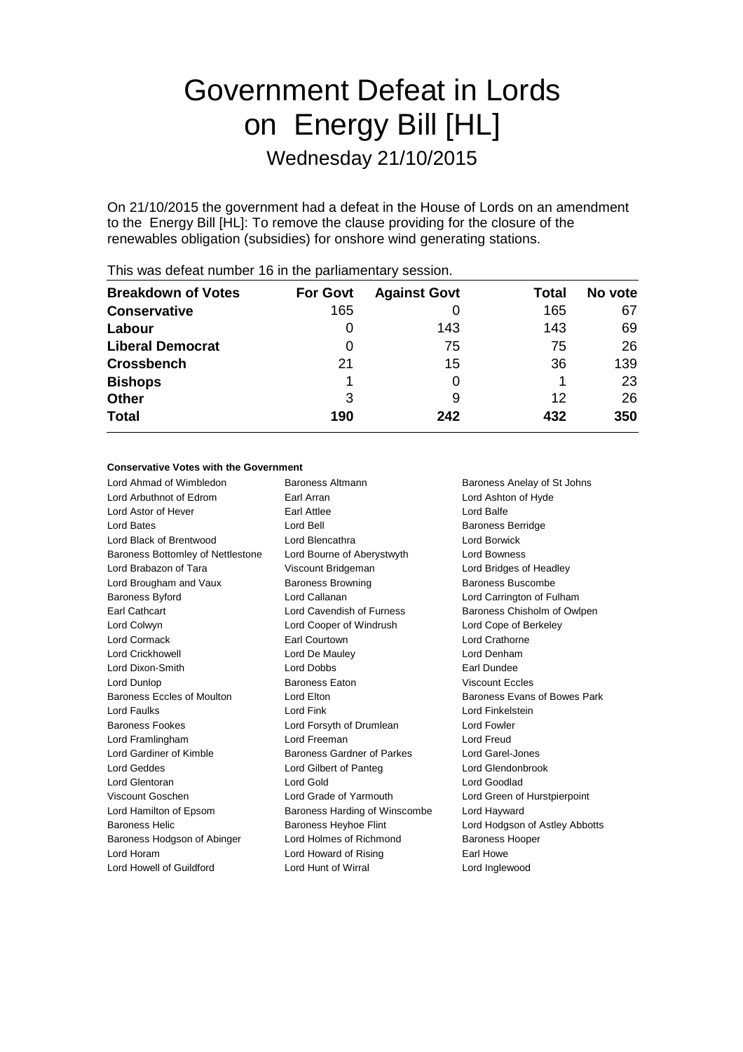# Government Defeat in Lords on Energy Bill [HL] Wednesday 21/10/2015

On 21/10/2015 the government had a defeat in the House of Lords on an amendment to the Energy Bill [HL]: To remove the clause providing for the closure of the renewables obligation (subsidies) for onshore wind generating stations.

|                           |                 | -                   |       |         |
|---------------------------|-----------------|---------------------|-------|---------|
| <b>Breakdown of Votes</b> | <b>For Govt</b> | <b>Against Govt</b> | Total | No vote |
| <b>Conservative</b>       | 165             |                     | 165   | 67      |
| Labour                    | O               | 143                 | 143   | 69      |
| <b>Liberal Democrat</b>   | O               | 75                  | 75    | 26      |
| <b>Crossbench</b>         | 21              | 15                  | 36    | 139     |
| <b>Bishops</b>            |                 |                     |       | 23      |
| <b>Other</b>              | 3               | 9                   | 12    | 26      |
| <b>Total</b>              | 190             | 242                 | 432   | 350     |
|                           |                 |                     |       |         |

This was defeat number 16 in the parliamentary session.

#### **Conservative Votes with the Government**

| Lord Ahmad of Wimbledon           | <b>Baroness Altmann</b>           | Baroness Anelay of St Johns    |
|-----------------------------------|-----------------------------------|--------------------------------|
| Lord Arbuthnot of Edrom           | Earl Arran                        | Lord Ashton of Hyde            |
| Lord Astor of Hever               | Earl Attlee                       | Lord Balfe                     |
| Lord Bates                        | Lord Bell                         | <b>Baroness Berridge</b>       |
| Lord Black of Brentwood           | Lord Blencathra                   | <b>Lord Borwick</b>            |
| Baroness Bottomley of Nettlestone | Lord Bourne of Aberystwyth        | <b>Lord Bowness</b>            |
| Lord Brabazon of Tara             | Viscount Bridgeman                | Lord Bridges of Headley        |
| Lord Brougham and Vaux            | <b>Baroness Browning</b>          | Baroness Buscombe              |
| <b>Baroness Byford</b>            | Lord Callanan                     | Lord Carrington of Fulham      |
| Earl Cathcart                     | Lord Cavendish of Furness         | Baroness Chisholm of Owlpen    |
| Lord Colwyn                       | Lord Cooper of Windrush           | Lord Cope of Berkeley          |
| Lord Cormack                      | Earl Courtown                     | Lord Crathorne                 |
| <b>Lord Crickhowell</b>           | Lord De Mauley                    | Lord Denham                    |
| Lord Dixon-Smith                  | <b>Lord Dobbs</b>                 | Earl Dundee                    |
| Lord Dunlop                       | <b>Baroness Eaton</b>             | <b>Viscount Eccles</b>         |
| Baroness Eccles of Moulton        | Lord Elton                        | Baroness Evans of Bowes Park   |
| <b>Lord Faulks</b>                | Lord Fink                         | Lord Finkelstein               |
| <b>Baroness Fookes</b>            | Lord Forsyth of Drumlean          | Lord Fowler                    |
| Lord Framlingham                  | Lord Freeman                      | <b>Lord Freud</b>              |
| Lord Gardiner of Kimble           | <b>Baroness Gardner of Parkes</b> | Lord Garel-Jones               |
| Lord Geddes                       | Lord Gilbert of Panteg            | Lord Glendonbrook              |
| Lord Glentoran                    | Lord Gold                         | Lord Goodlad                   |
| Viscount Goschen                  | Lord Grade of Yarmouth            | Lord Green of Hurstpierpoint   |
| Lord Hamilton of Epsom            | Baroness Harding of Winscombe     | Lord Hayward                   |
| <b>Baroness Helic</b>             | <b>Baroness Heyhoe Flint</b>      | Lord Hodgson of Astley Abbotts |
| Baroness Hodgson of Abinger       | Lord Holmes of Richmond           | <b>Baroness Hooper</b>         |
| Lord Horam                        | Lord Howard of Rising             | Earl Howe                      |
| Lord Howell of Guildford          | Lord Hunt of Wirral               | Lord Inglewood                 |
|                                   |                                   |                                |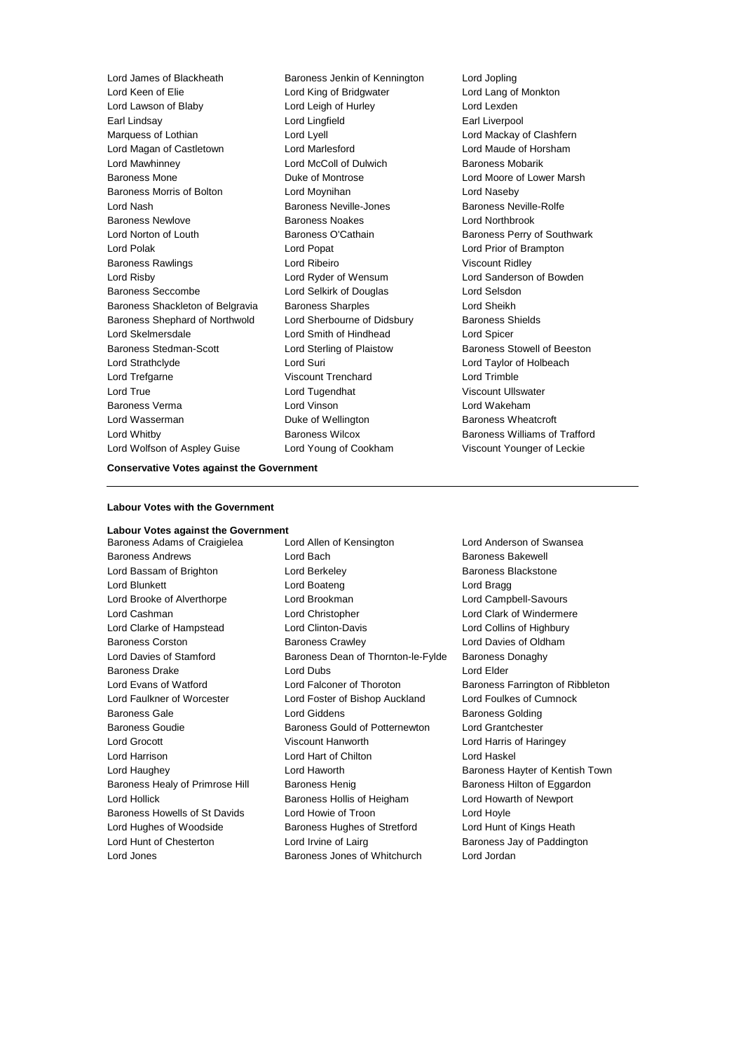Lord James of Blackheath Baroness Jenkin of Kennington Lord Jopling Lord Keen of Elie Lord King of Bridgwater Lord Lang of Monkton Lord Lawson of Blaby Lord Leigh of Hurley Lord Lexden Earl Lindsay **Earl Lingfield** Earl Liverpool Marquess of Lothian **Lord Lord Lyell** Lord Mackay of Clashfern Lord Magan of Castletown Lord Marlesford Lord Maude of Horsham Lord Mawhinney Lord McColl of Dulwich Baroness Mobarik Baroness Mone **Contains Container Containers Containers** Duke of Montrose **Lord Moore of Lower Marsh** Baroness Morris of Bolton Lord Moynihan Lord Naseby Lord Nash **Baroness Neville-Jones** Baroness Neville-Rolfe Baroness Newlove Baroness Noakes Lord Northbrook Lord Norton of Louth **Baroness O'Cathain** Baroness Perry of Southwark Lord Polak Lord Popat Lord Prior of Brampton Baroness Rawlings Lord Ribeiro Viscount Ridley Lord Risby Lord Ryder of Wensum Lord Sanderson of Bowden Baroness Seccombe Lord Selkirk of Douglas Lord Selsdon Baroness Shackleton of Belgravia Baroness Sharples Lord Sheikh Baroness Shephard of Northwold Lord Sherbourne of Didsbury Baroness Shields Lord Skelmersdale Lord Smith of Hindhead Lord Spicer Baroness Stedman-Scott Lord Sterling of Plaistow Baroness Stowell of Beeston Lord Strathclyde Lord Suri Lord Taylor of Holbeach Lord Trefgarne Viscount Trenchard Lord Trimble Lord True **Lord Tugendhat** Viscount Ullswater Baroness Verma Lord Vinson Lord Wakeham Lord Wasserman **Duke of Wellington** Baroness Wheatcroft Lord Whitby Baroness Wilcox Baroness Williams of Trafford Lord Wolfson of Aspley Guise Lord Young of Cookham Viscount Younger of Leckie

#### **Conservative Votes against the Government**

#### **Labour Votes with the Government**

# **Labour Votes against the Government**

Baroness Adams of Craigielea Lord Allen of Kensington Lord Anderson of Swansea Baroness Andrews **Lord Bach** Baroness Bakewell Lord Bassam of Brighton **Lord Berkeley Baroness Blackstone** Lord Blunkett Lord Boateng Lord Bragg Lord Brooke of Alverthorpe Lord Brookman Lord Campbell-Savours Lord Cashman Lord Christopher Lord Clark of Windermere Lord Clarke of Hampstead Lord Clinton-Davis Lord Collins of Highbury Baroness Corston Baroness Crawley Lord Davies of Oldham Lord Davies of Stamford **Baroness Dean of Thornton-le-Fylde** Baroness Donaghy Baroness Drake Lord Dubs Lord Elder Lord Evans of Watford **Lord Falconer of Thoroton** Baroness Farrington of Ribbleton Lord Faulkner of Worcester Lord Foster of Bishop Auckland Lord Foulkes of Cumnock Baroness Gale **Baroness Golding** Lord Giddens **Baroness Golding** Baroness Golding Baroness Goudie Baroness Gould of Potternewton Lord Grantchester Lord Grocott Viscount Hanworth Lord Harris of Haringey Lord Harrison Lord Hart of Chilton Lord Haskel Lord Haughey **Lord Haworth Communist Communist Communist Communist Communist Communist Communist Communist Communist Communist Communist Communist Communist Communist Communist Communist Communist Communist Communist Commu** Baroness Healy of Primrose Hill Baroness Henig Baroness Henioness Hilton of Eggardon Lord Hollick Baroness Hollis of Heigham Lord Howarth of Newport Baroness Howells of St Davids Lord Howie of Troon Lord Hoyle Lord Hughes of Woodside Baroness Hughes of Stretford Lord Hunt of Kings Heath Lord Hunt of Chesterton **Lord Irvine of Lairg** Baroness Jay of Paddington Lord Jones Baroness Jones of Whitchurch Lord Jordan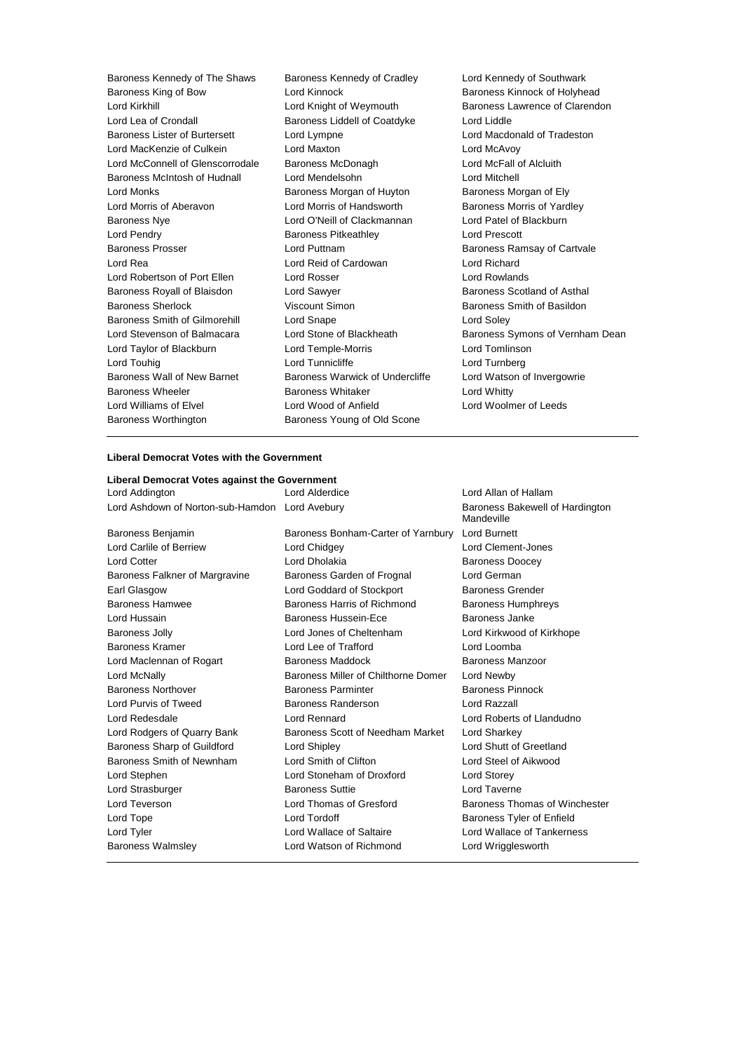Baroness Kennedy of The Shaws Baroness Kennedy of Cradley Lord Kennedy of Southwark<br>Baroness King of Bow Lord Kinnock Coral Charoness Kinnock of Holyhe Baroness King of Bow **Lord Kinnock** Cord Kinnock Baroness Kinnock of Holyhead<br>Lord Kirkhill Lord Knight of Weymouth Baroness Lawrence of Clarend Lord Lea of Crondall **Baroness Liddell of Coatdyke** Lord Liddle Baroness Lister of Burtersett Lord Lympne Lord Macdonald of Tradeston Lord MacKenzie of Culkein **Lord Maxton** Lord McAvoy Lord McConnell of Glenscorrodale Baroness McDonagh Lord McFall of Alcluith Baroness McIntosh of Hudnall Lord Mendelsohn Lord Mitchell Lord Monks **Baroness Morgan of Huyton** Baroness Morgan of Ely Lord Morris of Aberavon **Lord Morris of Handsworth** Baroness Morris of Yardley Baroness Nye Lord O'Neill of Clackmannan Lord Patel of Blackburn Lord Pendry Baroness Pitkeathley Lord Prescott Baroness Prosser **Baroness Prosser Baroness Ramsay of Cartvale** Lord Puttnam **Baroness Ramsay of Cartvale** Lord Rea Lord Reid of Cardowan Lord Richard Lord Robertson of Port Ellen Lord Rosser Lord Rowlands Baroness Royall of Blaisdon Lord Sawyer **Baroness Scotland of Asthal** Baroness Sherlock Viscount Simon Baroness Smith of Basildon Baroness Smith of Gilmorehill Lord Snape Lord Soley Lord Stevenson of Balmacara Lord Stone of Blackheath Baroness Symons of Vernham Dean Lord Taylor of Blackburn Lord Temple-Morris Lord Tomlinson Lord Touhig Lord Tunnicliffe Lord Turnberg Baroness Wall of New Barnet Baroness Warwick of Undercliffe Lord Watson of Invergowrie Baroness Wheeler **Baroness Whitaker Baroness Whitaker** Lord Whitty Lord Williams of Elvel Lord Wood of Anfield Lord Woolmer of Leeds Baroness Worthington Baroness Young of Old Scone

Baroness Lawrence of Clarendon

### **Liberal Democrat Votes with the Government**

| Liberal Democrat Votes against the Government  |                                        |                                               |  |  |
|------------------------------------------------|----------------------------------------|-----------------------------------------------|--|--|
| Lord Addington                                 | Lord Alderdice<br>Lord Allan of Hallam |                                               |  |  |
| Lord Ashdown of Norton-sub-Hamdon Lord Avebury |                                        | Baroness Bakewell of Hardington<br>Mandeville |  |  |
| Baroness Benjamin                              | Baroness Bonham-Carter of Yarnbury     | <b>Lord Burnett</b>                           |  |  |
| Lord Carlile of Berriew                        | Lord Chidgey                           | Lord Clement-Jones                            |  |  |
| <b>Lord Cotter</b>                             | Lord Dholakia                          | <b>Baroness Doocey</b>                        |  |  |
| Baroness Falkner of Margravine                 | Baroness Garden of Frognal             | Lord German                                   |  |  |
| Earl Glasgow                                   | Lord Goddard of Stockport              | <b>Baroness Grender</b>                       |  |  |
| Baroness Hamwee                                | Baroness Harris of Richmond            | <b>Baroness Humphreys</b>                     |  |  |
| Lord Hussain                                   | Baroness Hussein-Ece                   | Baroness Janke                                |  |  |
| <b>Baroness Jolly</b>                          | Lord Jones of Cheltenham               | Lord Kirkwood of Kirkhope                     |  |  |
| Baroness Kramer                                | Lord Lee of Trafford                   | Lord Loomba                                   |  |  |
| Lord Maclennan of Rogart                       | <b>Baroness Maddock</b>                | Baroness Manzoor                              |  |  |
| Lord McNally                                   | Baroness Miller of Chilthorne Domer    | Lord Newby                                    |  |  |
| <b>Baroness Northover</b>                      | <b>Baroness Parminter</b>              | <b>Baroness Pinnock</b>                       |  |  |
| Lord Purvis of Tweed                           | Baroness Randerson                     | Lord Razzall                                  |  |  |
| Lord Redesdale                                 | <b>Lord Rennard</b>                    | Lord Roberts of Llandudno                     |  |  |
| Lord Rodgers of Quarry Bank                    | Baroness Scott of Needham Market       | Lord Sharkey                                  |  |  |
| Baroness Sharp of Guildford                    | Lord Shipley                           | Lord Shutt of Greetland                       |  |  |
| Baroness Smith of Newnham                      | Lord Smith of Clifton                  | Lord Steel of Aikwood                         |  |  |
| Lord Stephen                                   | Lord Stoneham of Droxford              | Lord Storey                                   |  |  |
| Lord Strasburger                               | <b>Baroness Suttie</b>                 | Lord Taverne                                  |  |  |
| Lord Teverson                                  | Lord Thomas of Gresford                | Baroness Thomas of Winchester                 |  |  |
| Lord Tope                                      | Lord Tordoff                           | Baroness Tyler of Enfield                     |  |  |
| Lord Tyler                                     | Lord Wallace of Saltaire               | Lord Wallace of Tankerness                    |  |  |
| <b>Baroness Walmsley</b>                       | Lord Watson of Richmond                | Lord Wrigglesworth                            |  |  |